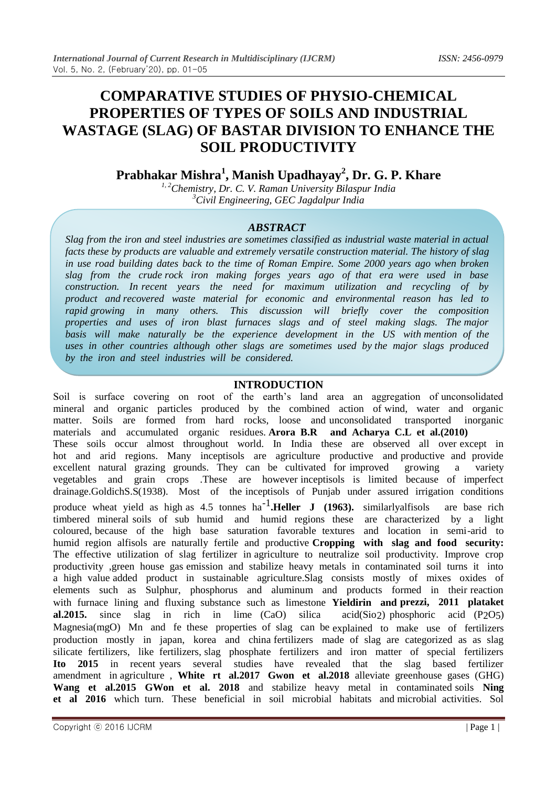# **COMPARATIVE STUDIES OF PHYSIO-CHEMICAL PROPERTIES OF TYPES OF SOILS AND INDUSTRIAL WASTAGE (SLAG) OF BASTAR DIVISION TO ENHANCE THE SOIL PRODUCTIVITY**

**Prabhakar Mishra<sup>1</sup> , Manish Upadhayay<sup>2</sup> , Dr. G. P. Khare**

*1, 2Chemistry, Dr. C. V. Raman University Bilaspur India <sup>3</sup>Civil Engineering, GEC Jagdalpur India*

## *ABSTRACT*

*Slag from the iron and steel industries are sometimes classified as industrial waste material in actual facts these by products are valuable and extremely versatile construction material. The history of slag in use road building dates back to the time of Roman Empire. Some 2000 years ago when broken slag from the crude rock iron making forges years ago of that era were used in base construction. In recent years the need for maximum utilization and recycling of by product and recovered waste material for economic and environmental reason has led to rapid growing in many others. This discussion will briefly cover the composition properties and uses of iron blast furnaces slags and of steel making slags. The major*  basis will make naturally be the experience development in the US with mention of the *uses in other countries although other slags are sometimes used by the major slags produced by the iron and steel industries will be considered.*

# **INTRODUCTION**

Soil is surface covering on root of the earth's land area an aggregation of unconsolidated mineral and organic particles produced by the combined action of wind, water and organic matter. Soils are formed from hard rocks, loose and unconsolidated transported inorganic materials and accumulated organic residues. **Arora B.R and Acharya C.L et al.(2010)** These soils occur almost throughout world. In India these are observed all over except in hot and arid regions. Many inceptisols are agriculture productive and productive and provide excellent natural grazing grounds. They can be cultivated for improved growing a variety excellent natural grazing grounds. They can be cultivated for improved growing a variety vegetables and grain crops .These are however inceptisols is limited because of imperfect drainage.GoldichS.S(1938). Most of the inceptisols of Punjab under assured irrigation conditions produce wheat yield as high as 4.5 tonnes ha<sup>-1</sup>.Heller J (1963). similarlyalfisols are base rich timbered mineral soils of sub humid and humid regions these are characterized by a light coloured, because of the high base saturation favorable textures and location in semi-arid to humid region alfisols are naturally fertile and productive **Cropping with slag and food security:**  The effective utilization of slag fertilizer in agriculture to neutralize soil productivity. Improve crop productivity ,green house gas emission and stabilize heavy metals in contaminated soil turns it into a high value added product in sustainable agriculture.Slag consists mostly of mixes oxides of elements such as Sulphur, phosphorus and aluminum and products formed in their reaction with furnace lining and fluxing substance such as limestone **Yieldirin and prezzi, 2011 plataket al.2015.** since slag in rich in lime (CaO) silica acid(Sio2) phosphoric acid (P2O5) Magnesia(mgO) Mn and fe these properties of slag can be explained to make use of fertilizers production mostly in japan, korea and china fertilizers made of slag are categorized as as slag silicate fertilizers, like fertilizers, slag phosphate fertilizers and iron matter of special fertilizers **Ito 2015** in recent years several studies have revealed that the slag based fertilizer amendment in agriculture , **White rt al.2017 Gwon et al.2018** alleviate greenhouse gases (GHG) **Wang et al.2015 GWon et al. 2018** and stabilize heavy metal in contaminated soils **Ning et al 2016** which turn. These beneficial in soil microbial habitats and microbial activities. Sol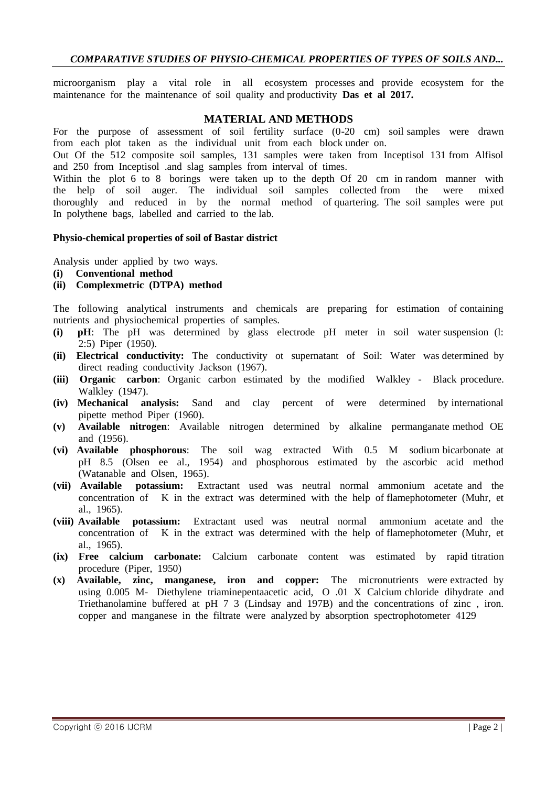#### *COMPARATIVE STUDIES OF PHYSIO-CHEMICAL PROPERTIES OF TYPES OF SOILS AND...*

microorganism play a vital role in all ecosystem processes and provide ecosystem for the maintenance for the maintenance of soil quality and productivity **Das et al 2017.**

#### **MATERIAL AND METHODS**

For the purpose of assessment of soil fertility surface (0-20 cm) soil samples were drawn from each plot taken as the individual unit from each block under on.

Out Of the 512 composite soil samples, 131 samples were taken from Inceptisol 131 from Alfisol and 250 from Inceptisol .and slag samples from interval of times.

Within the plot 6 to 8 borings were taken up to the depth Of 20 cm in random manner with the help of soil auger. The individual soil samples collected from the were mixed thoroughly and reduced in by the normal method of quartering. The soil samples were put In polythene bags, labelled and carried to the lab.

#### **Physio-chemical properties of soil of Bastar district**

Analysis under applied by two ways.

**(i) Conventional method**

#### **(ii) Complexmetric (DTPA) method**

The following analytical instruments and chemicals are preparing for estimation of containing nutrients and physiochemical properties of samples.

- **(i) pH**: The pH was determined by glass electrode pH meter in soil water suspension (l: 2:5) Piper (1950).
- **(ii) Electrical conductivity:** The conductivity ot supernatant of Soil: Water was determined by direct reading conductivity Jackson (1967).
- **(iii) Organic carbon**: Organic carbon estimated by the modified Walkley Black procedure. Walkley (1947).
- **(iv) Mechanical analysis:** Sand and clay percent of were determined by international pipette method Piper (1960).
- **(v) Available nitrogen**: Available nitrogen determined by alkaline permanganate method OE and (1956).
- **(vi) Available phosphorous**: The soil wag extracted With 0.5 M sodium bicarbonate at pH 8.5 (Olsen ee al., 1954) and phosphorous estimated by the ascorbic acid method (Watanable and Olsen, 1965).<br>
(vii) Available potassium: Ext
- **potassium:** Extractant used was neutral normal ammonium acetate and the concentration of K in the extract was determined with the help of flamephotometer (Muhr, et al., 1965).
- **(viii) Available potassium:** Extractant used was neutral normal ammonium acetate and the concentration of K in the extract was determined with the help of flamephotometer (Muhr, et al., 1965).
- **(ix) Free calcium carbonate:** Calcium carbonate content was estimated by rapid titration procedure (Piper, 1950)
- **(x) Available, zinc, manganese, iron and copper:** The micronutrients were extracted by using 0.005 M- Diethylene triaminepentaacetic acid, O .01 X Calcium chloride dihydrate and Triethanolamine buffered at pH 7 3 (Lindsay and 197B) and the concentrations of zinc , iron. copper and manganese in the filtrate were analyzed by absorption spectrophotometer 4129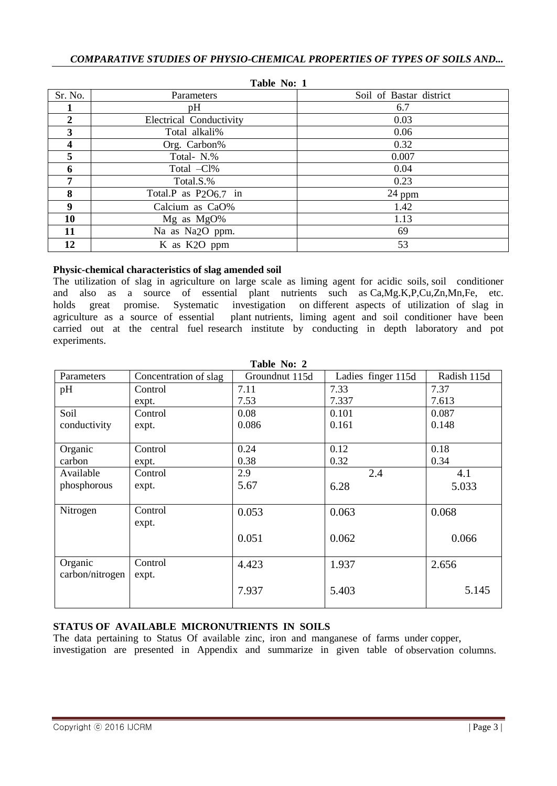| <b>TADIE INO: 1</b> |                                               |                         |  |  |  |  |
|---------------------|-----------------------------------------------|-------------------------|--|--|--|--|
| Sr. No.             | Parameters                                    | Soil of Bastar district |  |  |  |  |
|                     | pH                                            | 6.7                     |  |  |  |  |
| $\overline{2}$      | <b>Electrical Conductivity</b>                | 0.03                    |  |  |  |  |
| 3                   | Total alkali%                                 | 0.06                    |  |  |  |  |
| 4                   | Org. Carbon%                                  | 0.32                    |  |  |  |  |
| 5                   | Total- N.%                                    | 0.007                   |  |  |  |  |
| 6                   | Total -Cl%                                    | 0.04                    |  |  |  |  |
| 7                   | Total.S.%                                     | 0.23                    |  |  |  |  |
| 8                   | Total.P as P <sub>2</sub> O <sub>6.7</sub> in | $24$ ppm                |  |  |  |  |
| 9                   | Calcium as CaO%                               | 1.42                    |  |  |  |  |
| 10                  | Mg as MgO%                                    | 1.13                    |  |  |  |  |
| 11                  | Na as Na <sub>2</sub> O ppm.                  | 69                      |  |  |  |  |
| 12                  | K as K <sub>2</sub> O ppm                     | 53                      |  |  |  |  |

**Table No: 1**

## **Physic-chemical characteristics of slag amended soil**

The utilization of slag in agriculture on large scale as liming agent for acidic soils, soil conditioner and also as a source of essential plant nutrients such as Ca,Mg.K,P,Cu,Zn,Mn,Fe, etc. holds great promise. Systematic investigation on different aspects of utilization of slag in agriculture as a source of essential plant nutrients, liming agent and soil conditioner have been carried out at the central fuel research institute by conducting in depth laboratory and pot experiments.

| <b>LADIC 190.</b> $\boldsymbol{\mu}$ |                       |                |                    |             |  |  |  |
|--------------------------------------|-----------------------|----------------|--------------------|-------------|--|--|--|
| Parameters                           | Concentration of slag | Groundnut 115d | Ladies finger 115d | Radish 115d |  |  |  |
| pH                                   | Control               | 7.11           | 7.33               | 7.37        |  |  |  |
|                                      | expt.                 | 7.53           | 7.337              | 7.613       |  |  |  |
| Soil                                 | Control               | 0.08           | 0.101              | 0.087       |  |  |  |
| conductivity                         | expt.                 | 0.086          | 0.161              | 0.148       |  |  |  |
|                                      |                       |                |                    |             |  |  |  |
| Organic                              | Control               | 0.24           | 0.12               | 0.18        |  |  |  |
| carbon                               | expt.                 | 0.38           | 0.32               | 0.34        |  |  |  |
| Available                            | Control               | 2.9            | 2.4                | 4.1         |  |  |  |
| phosphorous                          | expt.                 | 5.67           | 6.28               | 5.033       |  |  |  |
|                                      |                       |                |                    |             |  |  |  |
| Nitrogen                             | Control               | 0.053          | 0.063              | 0.068       |  |  |  |
|                                      | expt.                 |                |                    |             |  |  |  |
|                                      |                       | 0.051          | 0.062              | 0.066       |  |  |  |
|                                      |                       |                |                    |             |  |  |  |
| Organic                              | Control               | 4.423          | 1.937              | 2.656       |  |  |  |
| carbon/nitrogen                      | expt.                 |                |                    |             |  |  |  |
|                                      |                       | 7.937          | 5.403              | 5.145       |  |  |  |
|                                      |                       |                |                    |             |  |  |  |
|                                      |                       |                |                    |             |  |  |  |

**Table No: 2**

## **STATUS OF AVAILABLE MICRONUTRIENTS IN SOILS**

The data pertaining to Status Of available zinc, iron and manganese of farms under copper, investigation are presented in Appendix and summarize in given table of observation columns.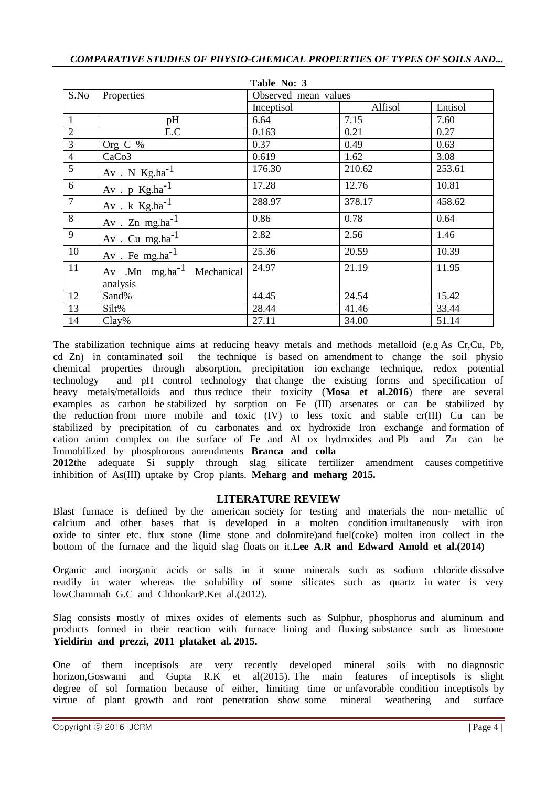| Table No: 3    |                                       |                      |         |         |  |  |  |
|----------------|---------------------------------------|----------------------|---------|---------|--|--|--|
| S.No           | Properties                            | Observed mean values |         |         |  |  |  |
|                |                                       | Inceptisol           | Alfisol | Entisol |  |  |  |
| $\mathbf{1}$   | pH                                    | 6.64                 | 7.15    | 7.60    |  |  |  |
| $\overline{c}$ | E.C                                   | 0.163                | 0.21    | 0.27    |  |  |  |
| 3              | Org C %                               | 0.37                 | 0.49    | 0.63    |  |  |  |
| $\overline{4}$ | CaCo <sub>3</sub>                     | 0.619                | 1.62    | 3.08    |  |  |  |
| $\overline{5}$ | $Av$ . N $Kg.ha^{-1}$                 | 176.30               | 210.62  | 253.61  |  |  |  |
| 6              | $Av$ . p $Kg.ha^{-1}$                 | 17.28                | 12.76   | 10.81   |  |  |  |
| $\overline{7}$ | Av. k $Kg.ha^{-1}$                    | 288.97               | 378.17  | 458.62  |  |  |  |
| 8              | $Av$ . Zn mg.ha <sup>-1</sup>         | 0.86                 | 0.78    | 0.64    |  |  |  |
| 9              | Av. Cu mg.ha $^{-1}$                  | 2.82                 | 2.56    | 1.46    |  |  |  |
| 10             | Av. Fe mg.ha $^{-1}$                  | 25.36                | 20.59   | 10.39   |  |  |  |
| 11             | Av .Mn mg.ha <sup>-1</sup> Mechanical | 24.97                | 21.19   | 11.95   |  |  |  |
|                | analysis                              |                      |         |         |  |  |  |
| 12             | Sand%                                 | 44.45                | 24.54   | 15.42   |  |  |  |
| 13             | Silt%                                 | 28.44                | 41.46   | 33.44   |  |  |  |
| 14             | $Clay\%$                              | 27.11                | 34.00   | 51.14   |  |  |  |

The stabilization technique aims at reducing heavy metals and methods metalloid (e.g As Cr,Cu, Pb, cd Zn) in contaminated soil the technique is based on amendment to change the soil physio chemical properties through absorption, precipitation ion exchange technique, redox potential technology and pH control technology that change the existing forms and specification of heavy metals/metalloids and thus reduce their toxicity (**Mosa et al.2016**) there are several examples as carbon be stabilized by sorption on Fe (III) arsenates or can be stabilized by the reduction from more mobile and toxic (IV) to less toxic and stable cr(III) Cu can be stabilized by precipitation of cu carbonates and ox hydroxide Iron exchange and formation of cation anion complex on the surface of Fe and Al ox hydroxides and Pb and Zn can be Immobilized by phosphorous amendments **Branca and colla**

**2012**the adequate Si supply through slag silicate fertilizer amendment causes competitive inhibition of As(III) uptake by Crop plants. **Meharg and meharg 2015.**

# **LITERATURE REVIEW**

Blast furnace is defined by the american society for testing and materials the non- metallic of calcium and other bases that is developed in a molten condition imultaneously with iron oxide to sinter etc. flux stone (lime stone and dolomite)and fuel(coke) molten iron collect in the bottom of the furnace and the liquid slag floats on it.**Lee A.R and Edward Amold et al.(2014)**

Organic and inorganic acids or salts in it some minerals such as sodium chloride dissolve readily in water whereas the solubility of some silicates such as quartz in water is very lowChammah G.C and ChhonkarP.Ket al.(2012).

Slag consists mostly of mixes oxides of elements such as Sulphur, phosphorus and aluminum and products formed in their reaction with furnace lining and fluxing substance such as limestone **Yieldirin and prezzi, 2011 plataket al. 2015.**

One of them inceptisols are very recently developed mineral soils with no diagnostic horizon,Goswami and Gupta R.K et al(2015). The main features of inceptisols is slight degree of sol formation because of either, limiting time or unfavorable condition inceptisols by virtue of plant growth and root penetration show some mineral weathering and surface